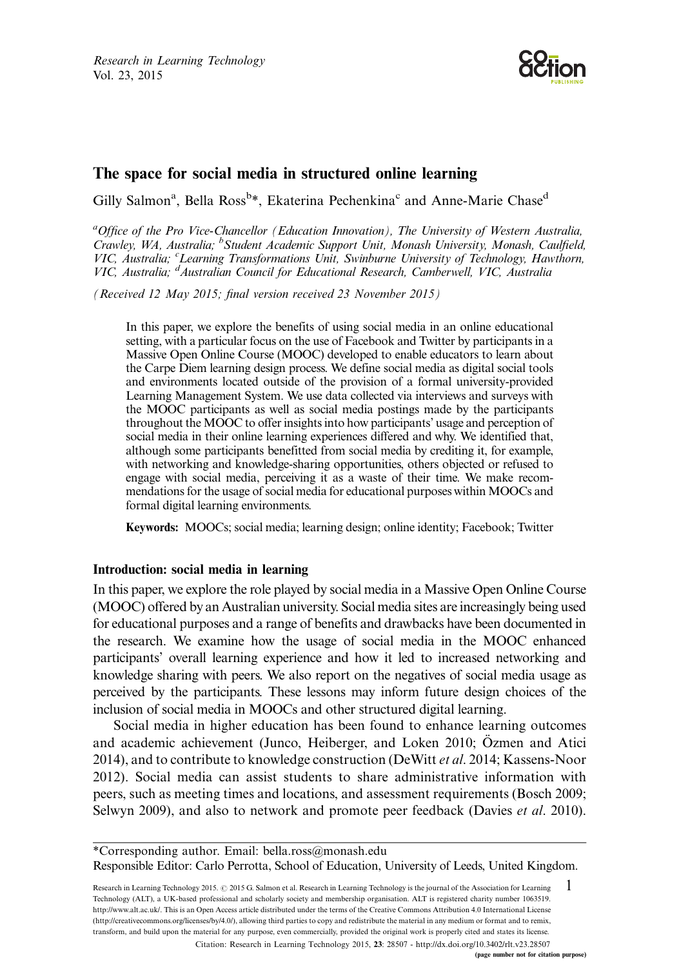Research in Learning Technology Vol. 23, 2015



# The space for social media in structured online learning

Gilly Salmon<sup>a</sup>, Bella Ross<sup>b\*</sup>, Ekaterina Pechenkina<sup>c</sup> and Anne-Marie Chase<sup>d</sup>

<sup>a</sup>Office of the Pro Vice-Chancellor (Education Innovation), The University of Western Australia, Crawley, WA, Australia; <sup>b</sup>Student Academic Support Unit, Monash University, Monash, Caulfield, VIC, Australia; <sup>c</sup>Learning Transformations Unit, Swinburne University of Technology, Hawthorn, VIC, Australia; <sup>d</sup>Australian Council for Educational Research, Camberwell, VIC, Australia

(Received 12 May 2015; final version received 23 November 2015)

In this paper, we explore the benefits of using social media in an online educational setting, with a particular focus on the use of Facebook and Twitter by participants in a Massive Open Online Course (MOOC) developed to enable educators to learn about the Carpe Diem learning design process. We define social media as digital social tools and environments located outside of the provision of a formal university-provided Learning Management System. We use data collected via interviews and surveys with the MOOC participants as well as social media postings made by the participants throughout the MOOC to offer insights into how participants' usage and perception of social media in their online learning experiences differed and why. We identified that, although some participants benefitted from social media by crediting it, for example, with networking and knowledge-sharing opportunities, others objected or refused to engage with social media, perceiving it as a waste of their time. We make recommendations for the usage of social media for educational purposes within MOOCs and formal digital learning environments.

Keywords: MOOCs; social media; learning design; online identity; Facebook; Twitter

## Introduction: social media in learning

In this paper, we explore the role played by social media in a Massive Open Online Course (MOOC) offered by an Australian university. Social media sites are increasingly being used for educational purposes and a range of benefits and drawbacks have been documented in the research. We examine how the usage of social media in the MOOC enhanced participants' overall learning experience and how it led to increased networking and knowledge sharing with peers. We also report on the negatives of social media usage as perceived by the participants. These lessons may inform future design choices of the inclusion of social media in MOOCs and other structured digital learning.

Social media in higher education has been found to enhance learning outcomes and academic achievement (Junco, Heiberger, and Loken 2010; Özmen and Atici 2014), and to contribute to knowledge construction (DeWitt *et al.* 2014; Kassens-Noor 2012). Social media can assist students to share administrative information with [peers, such as meeting tim](http://creativecommons.org/licenses/by/4.0/)es and locations, and assessment requirements (Bosch 2009; Selwyn 2009), an[d](http://www.researchinlearningtechnology.net/index.php/rlt/article/view/28507) [also](http://www.researchinlearningtechnology.net/index.php/rlt/article/view/28507) [to](http://www.researchinlearningtechnology.net/index.php/rlt/article/view/28507) [network](http://www.researchinlearningtechnology.net/index.php/rlt/article/view/28507) [and](http://www.researchinlearningtechnology.net/index.php/rlt/article/view/28507) [promote](http://www.researchinlearningtechnology.net/index.php/rlt/article/view/28507) [peer](http://www.researchinlearningtechnology.net/index.php/rlt/article/view/28507) [feedback](http://dx.doi.org/10.3402/rlt.v23.28507) [\(Davies](http://dx.doi.org/10.3402/rlt.v23.28507) *et al.* 2010).

Research in Learning Technology 2015. @ 2015 G. Salmon et al. Research in Learning Technology is the journal of the Association for Learning Technology (ALT), a UK-based professional and scholarly society and membership organisation. ALT is registered charity number 1063519. http://www.alt.ac.uk/. This is an Open Access article distributed under the terms of the Creative Commons Attribution 4.0 International License (http://creativecommons.org/licenses/by/4.0/), allowing third parties to copy and redistribute the material in any medium or format and to remix, transform, and build upon the material for any purpose, even commercially, provided the original work is properly cited and states its license. 1 Citation: Research in Learning Technology 2015, 23: 28507 - http://dx.doi.org/10.3402/rlt.v23.28507

(page number not for citation purpose)

<sup>\*</sup>Corresponding author. Email: bella.ross@monash.edu Responsible Editor: Carlo Perrotta, School of Education, University of Leeds, United Kingdom.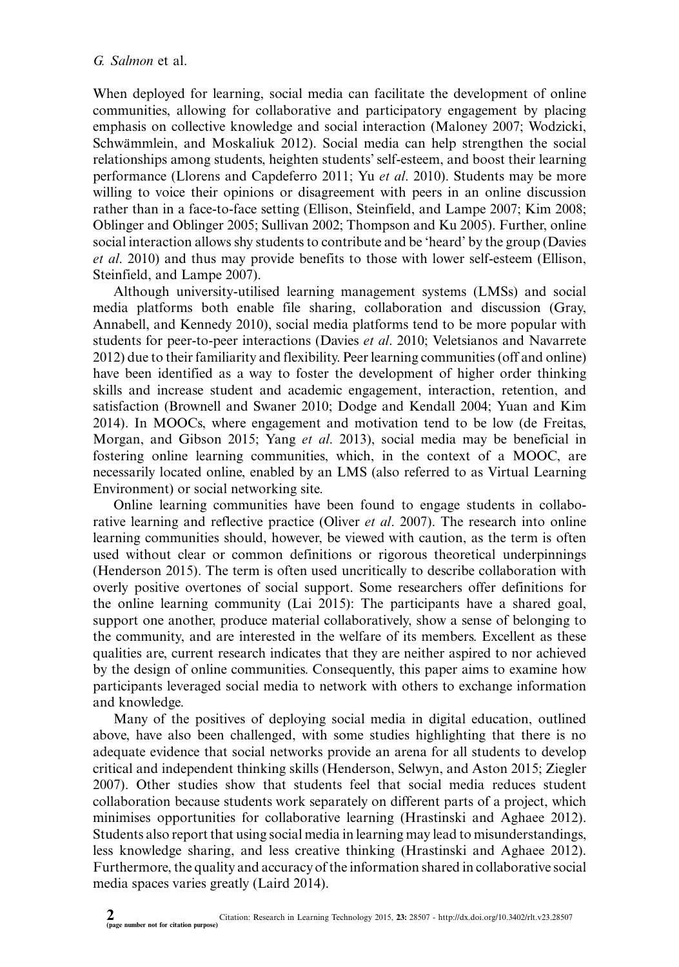When deployed for learning, social media can facilitate the development of online communities, allowing for collaborative and participatory engagement by placing emphasis on collective knowledge and social interaction (Maloney 2007; Wodzicki, Schwämmlein, and Moskaliuk 2012). Social media can help strengthen the social relationships among students, heighten students' self-esteem, and boost their learning performance (Llorens and Capdeferro 2011; Yu et al. 2010). Students may be more willing to voice their opinions or disagreement with peers in an online discussion rather than in a face-to-face setting (Ellison, Steinfield, and Lampe 2007; Kim 2008; Oblinger and Oblinger 2005; Sullivan 2002; Thompson and Ku 2005). Further, online social interaction allows shy students to contribute and be 'heard' by the group (Davies et al. 2010) and thus may provide benefits to those with lower self-esteem (Ellison, Steinfield, and Lampe 2007).

Although university-utilised learning management systems (LMSs) and social media platforms both enable file sharing, collaboration and discussion (Gray, Annabell, and Kennedy 2010), social media platforms tend to be more popular with students for peer-to-peer interactions (Davies et al. 2010; Veletsianos and Navarrete 2012) due to their familiarity and flexibility. Peer learning communities (off and online) have been identified as a way to foster the development of higher order thinking skills and increase student and academic engagement, interaction, retention, and satisfaction (Brownell and Swaner 2010; Dodge and Kendall 2004; Yuan and Kim 2014). In MOOCs, where engagement and motivation tend to be low (de Freitas, Morgan, and Gibson 2015; Yang et al. 2013), social media may be beneficial in fostering online learning communities, which, in the context of a MOOC, are necessarily located online, enabled by an LMS (also referred to as Virtual Learning Environment) or social networking site.

Online learning communities have been found to engage students in collaborative learning and reflective practice (Oliver *et al.* 2007). The research into online learning communities should, however, be viewed with caution, as the term is often used without clear or common definitions or rigorous theoretical underpinnings (Henderson 2015). The term is often used uncritically to describe collaboration with overly positive overtones of social support. Some researchers offer definitions for the online learning community (Lai 2015): The participants have a shared goal, support one another, produce material collaboratively, show a sense of belonging to the community, and are interested in the welfare of its members. Excellent as these qualities are, current research indicates that they are neither aspired to nor achieved by the design of online communities. Consequently, this paper aims to examine how participants leveraged social media to network with others to exchange information and knowledge.

Many of the positives of deploying social media in digital education, outlined above, have also been challenged, with some studies highlighting that there is no adequate evidence that social networks provide an arena for all students to develop critical and independent thinking skills (Henderson, Selwyn, and Aston 2015; Ziegler 2007). Other studies show that students feel that social media reduces student collaboration becaus[e](http://www.researchinlearningtechnology.net/index.php/rlt/article/view/28507) [students](http://www.researchinlearningtechnology.net/index.php/rlt/article/view/28507) [work](http://www.researchinlearningtechnology.net/index.php/rlt/article/view/28507) [separately](http://www.researchinlearningtechnology.net/index.php/rlt/article/view/28507) [on](http://www.researchinlearningtechnology.net/index.php/rlt/article/view/28507) [differen](http://www.researchinlearningtechnology.net/index.php/rlt/article/view/28507)[t](http://dx.doi.org/10.3402/rlt.v23.28507) [parts](http://dx.doi.org/10.3402/rlt.v23.28507) [of](http://dx.doi.org/10.3402/rlt.v23.28507) [a](http://dx.doi.org/10.3402/rlt.v23.28507) [project,](http://dx.doi.org/10.3402/rlt.v23.28507) [whi](http://dx.doi.org/10.3402/rlt.v23.28507)ch minimises opportunities for collaborative learning (Hrastinski and Aghaee 2012). Students also report that using social media in learning may lead to misunderstandings, less knowledge sharing, and less creative thinking (Hrastinski and Aghaee 2012). Furthermore, the quality and accuracy of the information shared in collaborative social media spaces varies greatly (Laird 2014).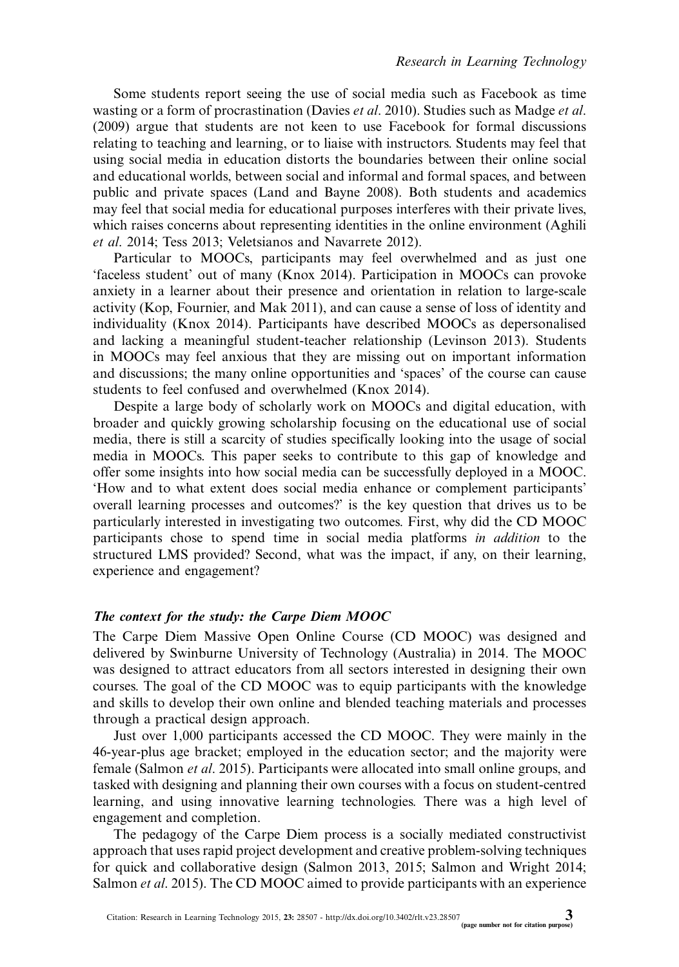Some students report seeing the use of social media such as Facebook as time wasting or a form of procrastination (Davies *et al.* 2010). Studies such as Madge *et al.* (2009) argue that students are not keen to use Facebook for formal discussions relating to teaching and learning, or to liaise with instructors. Students may feel that using social media in education distorts the boundaries between their online social and educational worlds, between social and informal and formal spaces, and between public and private spaces (Land and Bayne 2008). Both students and academics may feel that social media for educational purposes interferes with their private lives, which raises concerns about representing identities in the online environment (Aghili et al. 2014; Tess 2013; Veletsianos and Navarrete 2012).

Particular to MOOCs, participants may feel overwhelmed and as just one 'faceless student' out of many (Knox 2014). Participation in MOOCs can provoke anxiety in a learner about their presence and orientation in relation to large-scale activity (Kop, Fournier, and Mak 2011), and can cause a sense of loss of identity and individuality (Knox 2014). Participants have described MOOCs as depersonalised and lacking a meaningful student-teacher relationship (Levinson 2013). Students in MOOCs may feel anxious that they are missing out on important information and discussions; the many online opportunities and 'spaces' of the course can cause students to feel confused and overwhelmed (Knox 2014).

Despite a large body of scholarly work on MOOCs and digital education, with broader and quickly growing scholarship focusing on the educational use of social media, there is still a scarcity of studies specifically looking into the usage of social media in MOOCs. This paper seeks to contribute to this gap of knowledge and offer some insights into how social media can be successfully deployed in a MOOC. 'How and to what extent does social media enhance or complement participants' overall learning processes and outcomes?' is the key question that drives us to be particularly interested in investigating two outcomes. First, why did the CD MOOC participants chose to spend time in social media platforms in addition to the structured LMS provided? Second, what was the impact, if any, on their learning, experience and engagement?

## The context for the study: the Carpe Diem MOOC

The Carpe Diem Massive Open Online Course (CD MOOC) was designed and delivered by Swinburne University of Technology (Australia) in 2014. The MOOC was designed to attract educators from all sectors interested in designing their own courses. The goal of the CD MOOC was to equip participants with the knowledge and skills to develop their own online and blended teaching materials and processes through a practical design approach.

Just over 1,000 participants accessed the CD MOOC. They were mainly in the 46-year-plus age bracket; employed in the education sector; and the majority were female (Salmon et al. 2015). Participants were allocated into small online groups, and tasked with designing and planning their own courses with a focus on student-centred le[arning,](http://www.researchinlearningtechnology.net/index.php/rlt/article/view/28507) [and](http://www.researchinlearningtechnology.net/index.php/rlt/article/view/28507) [using](http://www.researchinlearningtechnology.net/index.php/rlt/article/view/28507) [innovative](http://www.researchinlearningtechnology.net/index.php/rlt/article/view/28507) [learni](http://www.researchinlearningtechnology.net/index.php/rlt/article/view/28507)[ng](http://dx.doi.org/10.3402/rlt.v23.28507) [technologies.](http://dx.doi.org/10.3402/rlt.v23.28507) [There](http://dx.doi.org/10.3402/rlt.v23.28507) was a high level of engagement and completion.

The pedagogy of the Carpe Diem process is a socially mediated constructivist approach that uses rapid project development and creative problem-solving techniques for quick and collaborative design (Salmon 2013, 2015; Salmon and Wright 2014; Salmon et al. 2015). The CD MOOC aimed to provide participants with an experience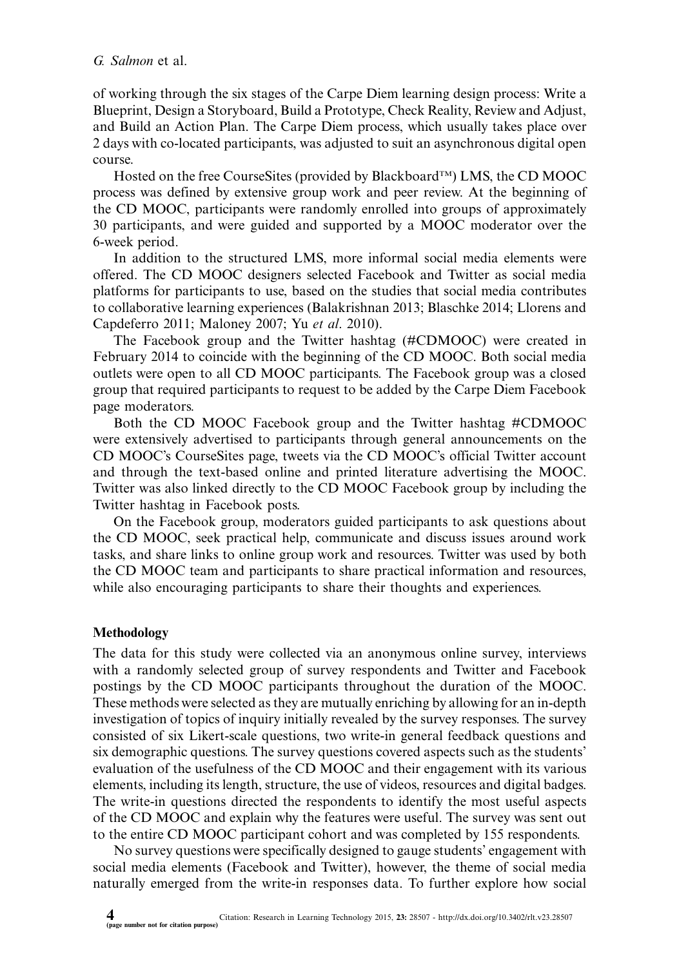of working through the six stages of the Carpe Diem learning design process: Write a Blueprint, Design a Storyboard, Build a Prototype, Check Reality, Review and Adjust, and Build an Action Plan. The Carpe Diem process, which usually takes place over 2 days with co-located participants, was adjusted to suit an asynchronous digital open course.

Hosted on the free CourseSites (provided by Blackboard™) LMS, the CD MOOC process was defined by extensive group work and peer review. At the beginning of the CD MOOC, participants were randomly enrolled into groups of approximately 30 participants, and were guided and supported by a MOOC moderator over the 6-week period.

In addition to the structured LMS, more informal social media elements were offered. The CD MOOC designers selected Facebook and Twitter as social media platforms for participants to use, based on the studies that social media contributes to collaborative learning experiences (Balakrishnan 2013; Blaschke 2014; Llorens and Capdeferro 2011; Maloney 2007; Yu et al. 2010).

The Facebook group and the Twitter hashtag (#CDMOOC) were created in February 2014 to coincide with the beginning of the CD MOOC. Both social media outlets were open to all CD MOOC participants. The Facebook group was a closed group that required participants to request to be added by the Carpe Diem Facebook page moderators.

Both the CD MOOC Facebook group and the Twitter hashtag #CDMOOC were extensively advertised to participants through general announcements on the CD MOOC's CourseSites page, tweets via the CD MOOC's official Twitter account and through the text-based online and printed literature advertising the MOOC. Twitter was also linked directly to the CD MOOC Facebook group by including the Twitter hashtag in Facebook posts.

On the Facebook group, moderators guided participants to ask questions about the CD MOOC, seek practical help, communicate and discuss issues around work tasks, and share links to online group work and resources. Twitter was used by both the CD MOOC team and participants to share practical information and resources, while also encouraging participants to share their thoughts and experiences.

## Methodology

The data for this study were collected via an anonymous online survey, interviews with a randomly selected group of survey respondents and Twitter and Facebook postings by the CD MOOC participants throughout the duration of the MOOC. These methods were selected as they are mutually enriching by allowing for an in-depth investigation of topics of inquiry initially revealed by the survey responses. The survey consisted of six Likert-scale questions, two write-in general feedback questions and six demographic questions. The survey questions covered aspects such as the students' evaluation of the usefulness of the CD MOOC and their engagement with its various elements, including its length, structure, the use of videos, resources and digital badges. The write-in questio[ns](http://www.researchinlearningtechnology.net/index.php/rlt/article/view/28507) [directed](http://www.researchinlearningtechnology.net/index.php/rlt/article/view/28507) [the](http://www.researchinlearningtechnology.net/index.php/rlt/article/view/28507) [respondents](http://www.researchinlearningtechnology.net/index.php/rlt/article/view/28507) [to](http://www.researchinlearningtechnology.net/index.php/rlt/article/view/28507) [identif](http://www.researchinlearningtechnology.net/index.php/rlt/article/view/28507)[y](http://dx.doi.org/10.3402/rlt.v23.28507) [the](http://dx.doi.org/10.3402/rlt.v23.28507) [most](http://dx.doi.org/10.3402/rlt.v23.28507) [useful](http://dx.doi.org/10.3402/rlt.v23.28507) [aspec](http://dx.doi.org/10.3402/rlt.v23.28507)ts of the CD MOOC and explain why the features were useful. The survey was sent out to the entire CD MOOC participant cohort and was completed by 155 respondents.

No survey questions were specifically designed to gauge students' engagement with social media elements (Facebook and Twitter), however, the theme of social media naturally emerged from the write-in responses data. To further explore how social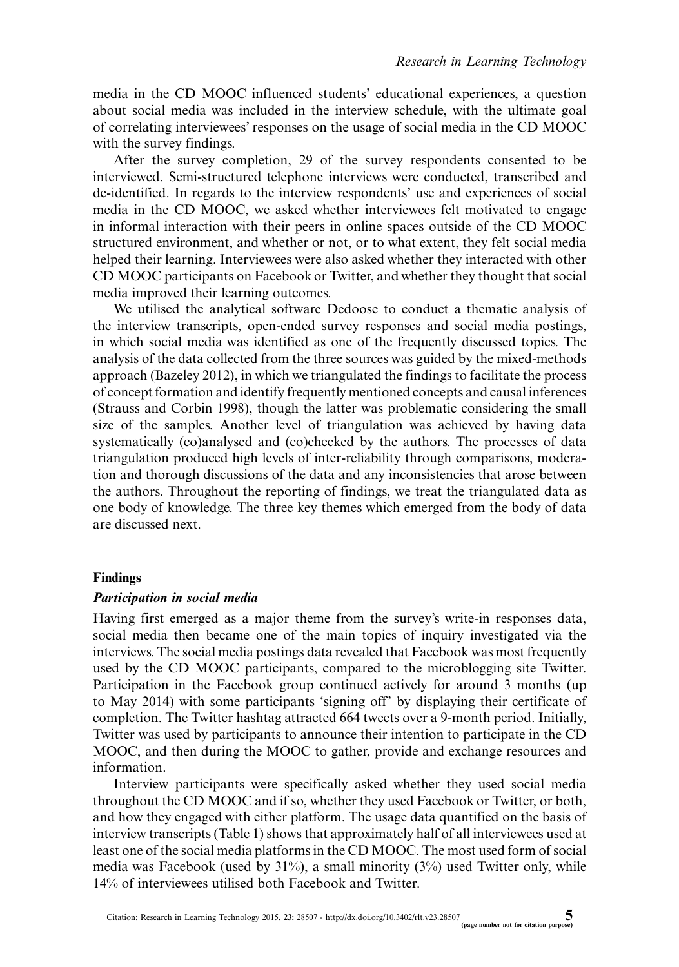media in the CD MOOC influenced students' educational experiences, a question about social media was included in the interview schedule, with the ultimate goal of correlating interviewees' responses on the usage of social media in the CD MOOC with the survey findings.

After the survey completion, 29 of the survey respondents consented to be interviewed. Semi-structured telephone interviews were conducted, transcribed and de-identified. In regards to the interview respondents' use and experiences of social media in the CD MOOC, we asked whether interviewees felt motivated to engage in informal interaction with their peers in online spaces outside of the CD MOOC structured environment, and whether or not, or to what extent, they felt social media helped their learning. Interviewees were also asked whether they interacted with other CD MOOC participants on Facebook or Twitter, and whether they thought that social media improved their learning outcomes.

We utilised the analytical software Dedoose to conduct a thematic analysis of the interview transcripts, open-ended survey responses and social media postings, in which social media was identified as one of the frequently discussed topics. The analysis of the data collected from the three sources was guided by the mixed-methods approach (Bazeley 2012), in which we triangulated the findings to facilitate the process of concept formation and identify frequently mentioned concepts and causal inferences (Strauss and Corbin 1998), though the latter was problematic considering the small size of the samples. Another level of triangulation was achieved by having data systematically (co)analysed and (co)checked by the authors. The processes of data triangulation produced high levels of inter-reliability through comparisons, moderation and thorough discussions of the data and any inconsistencies that arose between the authors. Throughout the reporting of findings, we treat the triangulated data as one body of knowledge. The three key themes which emerged from the body of data are discussed next.

## Findings

#### Participation in social media

Having first emerged as a major theme from the survey's write-in responses data, social media then became one of the main topics of inquiry investigated via the interviews. The social media postings data revealed that Facebook was most frequently used by the CD MOOC participants, compared to the microblogging site Twitter. Participation in the Facebook group continued actively for around 3 months (up to May 2014) with some participants 'signing off' by displaying their certificate of completion. The Twitter hashtag attracted 664 tweets over a 9-month period. Initially, Twitter was used by participants to announce their intention to participate in the CD MOOC, and then during the MOOC to gather, provide and exchange resources and information.

Interview participants were specifically asked whether they used social media th[roughout](http://www.researchinlearningtechnology.net/index.php/rlt/article/view/28507) [the](http://www.researchinlearningtechnology.net/index.php/rlt/article/view/28507) [CD](http://www.researchinlearningtechnology.net/index.php/rlt/article/view/28507) [MOOC](http://www.researchinlearningtechnology.net/index.php/rlt/article/view/28507) [and](http://www.researchinlearningtechnology.net/index.php/rlt/article/view/28507) [if](http://www.researchinlearningtechnology.net/index.php/rlt/article/view/28507) [so,](http://www.researchinlearningtechnology.net/index.php/rlt/article/view/28507) [w](http://www.researchinlearningtechnology.net/index.php/rlt/article/view/28507)[hether](http://dx.doi.org/10.3402/rlt.v23.28507) [they](http://dx.doi.org/10.3402/rlt.v23.28507) [used](http://dx.doi.org/10.3402/rlt.v23.28507) [Faceboo](http://dx.doi.org/10.3402/rlt.v23.28507)k or Twitter, or both, and how they engaged with either platform. The usage data quantified on the basis of interview transcripts (Table 1) shows that approximately half of all interviewees used at least one of the social media platforms in the CD MOOC. The most used form of social media was Facebook (used by 31%), a small minority (3%) used Twitter only, while 14% of interviewees utilised both Facebook and Twitter.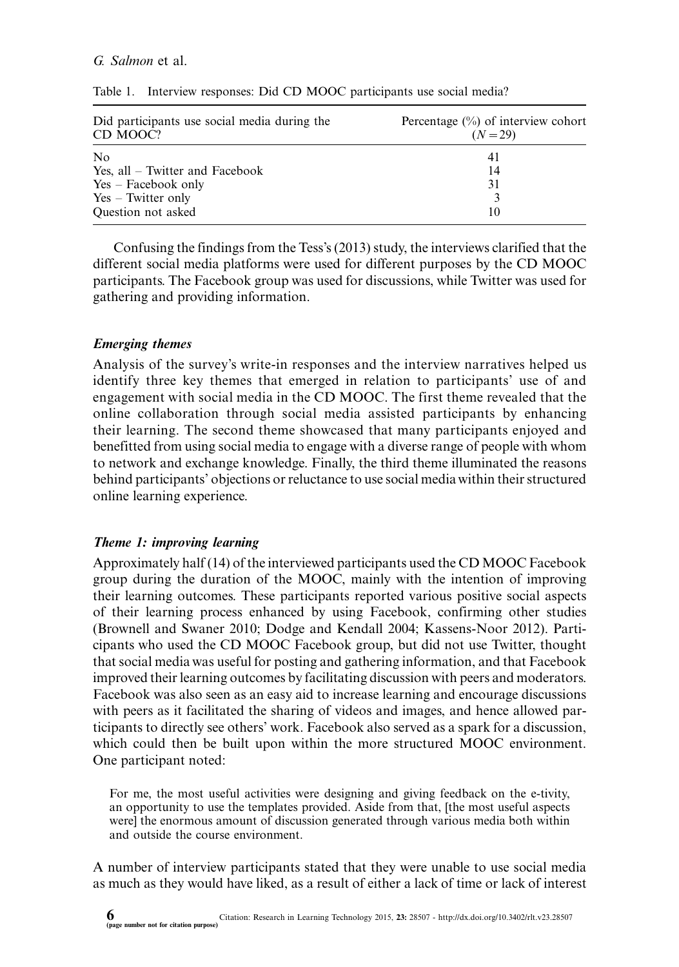Table 1. Interview responses: Did CD MOOC participants use social media?

| Did participants use social media during the<br>CD MOOC? | Percentage $(\%)$ of interview cohort<br>$(N=29)$ |
|----------------------------------------------------------|---------------------------------------------------|
| N <sub>0</sub>                                           | 41                                                |
| Yes, all – Twitter and Facebook                          | 14                                                |
| $Yes - Facebook$ only                                    | 31                                                |
| $Yes - Twitter$ only                                     |                                                   |
| Question not asked                                       | 10                                                |

Confusing the findings from the Tess's (2013) study, the interviews clarified that the different social media platforms were used for different purposes by the CD MOOC participants. The Facebook group was used for discussions, while Twitter was used for gathering and providing information.

## Emerging themes

Analysis of the survey's write-in responses and the interview narratives helped us identify three key themes that emerged in relation to participants' use of and engagement with social media in the CD MOOC. The first theme revealed that the online collaboration through social media assisted participants by enhancing their learning. The second theme showcased that many participants enjoyed and benefitted from using social media to engage with a diverse range of people with whom to network and exchange knowledge. Finally, the third theme illuminated the reasons behind participants' objections or reluctance to use social mediawithin their structured online learning experience.

# Theme 1: improving learning

Approximately half (14) of the interviewed participants used the CD MOOC Facebook group during the duration of the MOOC, mainly with the intention of improving their learning outcomes. These participants reported various positive social aspects of their learning process enhanced by using Facebook, confirming other studies (Brownell and Swaner 2010; Dodge and Kendall 2004; Kassens-Noor 2012). Participants who used the CD MOOC Facebook group, but did not use Twitter, thought that social media was useful for posting and gathering information, and that Facebook improved their learning outcomes by facilitating discussion with peers and moderators. Facebook was also seen as an easy aid to increase learning and encourage discussions with peers as it facilitated the sharing of videos and images, and hence allowed participants to directly see others' work. Facebook also served as a spark for a discussion, which could then be built upon within the more structured MOOC environment. One participant noted:

For me, the most u[seful activities were designing and giving](http://www.researchinlearningtechnology.net/index.php/rlt/article/view/28507) [feedback on the e-tivity,](http://dx.doi.org/10.3402/rlt.v23.28507) an opportunity to use the templates provided. Aside from that, [the most useful aspects were] the enormous amount of discussion generated through various media both within and outside the course environment.

A number of interview participants stated that they were unable to use social media as much as they would have liked, as a result of either a lack of time or lack of interest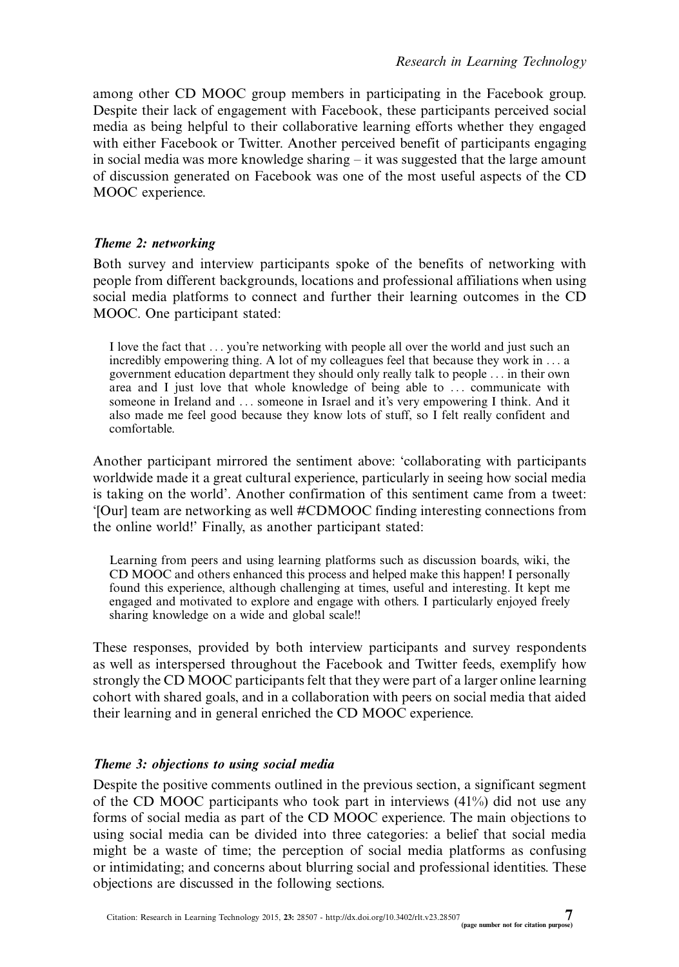among other CD MOOC group members in participating in the Facebook group. Despite their lack of engagement with Facebook, these participants perceived social media as being helpful to their collaborative learning efforts whether they engaged with either Facebook or Twitter. Another perceived benefit of participants engaging in social media was more knowledge sharing  $-$  it was suggested that the large amount of discussion generated on Facebook was one of the most useful aspects of the CD MOOC experience.

## Theme 2: networking

Both survey and interview participants spoke of the benefits of networking with people from different backgrounds, locations and professional affiliations when using social media platforms to connect and further their learning outcomes in the CD MOOC. One participant stated:

I love the fact that ... you're networking with people all over the world and just such an incredibly empowering thing. A lot of my colleagues feel that because they work in ... a government education department they should only really talk to people ... in their own area and I just love that whole knowledge of being able to ... communicate with someone in Ireland and ... someone in Israel and it's very empowering I think. And it also made me feel good because they know lots of stuff, so I felt really confident and comfortable.

Another participant mirrored the sentiment above: 'collaborating with participants worldwide made it a great cultural experience, particularly in seeing how social media is taking on the world'. Another confirmation of this sentiment came from a tweet: '[Our] team are networking as well #CDMOOC finding interesting connections from the online world!' Finally, as another participant stated:

Learning from peers and using learning platforms such as discussion boards, wiki, the CD MOOC and others enhanced this process and helped make this happen! I personally found this experience, although challenging at times, useful and interesting. It kept me engaged and motivated to explore and engage with others. I particularly enjoyed freely sharing knowledge on a wide and global scale!!

These responses, provided by both interview participants and survey respondents as well as interspersed throughout the Facebook and Twitter feeds, exemplify how strongly the CD MOOC participants felt that they were part of a larger online learning cohort with shared goals, and in a collaboration with peers on social media that aided their learning and in general enriched the CD MOOC experience.

# Theme 3: objections to using social media

Despite the positive comments outlined in the previous section, a significant segment of [the](http://www.researchinlearningtechnology.net/index.php/rlt/article/view/28507) [CD](http://www.researchinlearningtechnology.net/index.php/rlt/article/view/28507) [MOOC](http://www.researchinlearningtechnology.net/index.php/rlt/article/view/28507) [participants](http://www.researchinlearningtechnology.net/index.php/rlt/article/view/28507) [who](http://www.researchinlearningtechnology.net/index.php/rlt/article/view/28507) [to](http://www.researchinlearningtechnology.net/index.php/rlt/article/view/28507)[ok](http://dx.doi.org/10.3402/rlt.v23.28507) [part](http://dx.doi.org/10.3402/rlt.v23.28507) [in](http://dx.doi.org/10.3402/rlt.v23.28507) [interviews](http://dx.doi.org/10.3402/rlt.v23.28507) [\(4](http://dx.doi.org/10.3402/rlt.v23.28507)1%) did not use any forms of social media as part of the CD MOOC experience. The main objections to using social media can be divided into three categories: a belief that social media might be a waste of time; the perception of social media platforms as confusing or intimidating; and concerns about blurring social and professional identities. These objections are discussed in the following sections.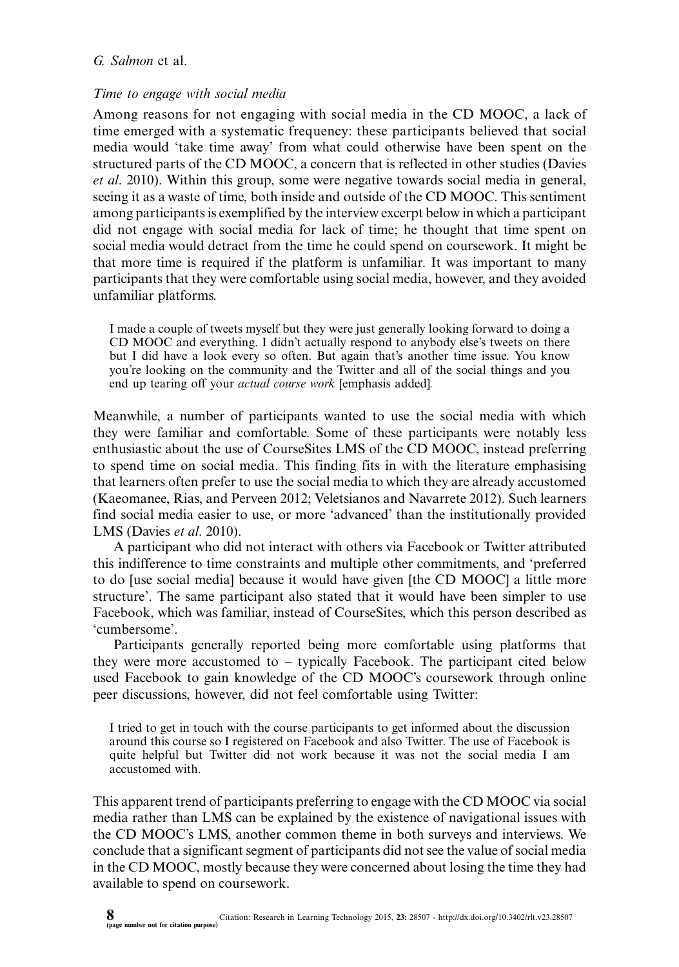#### Time to engage with social media

Among reasons for not engaging with social media in the CD MOOC, a lack of time emerged with a systematic frequency: these participants believed that social media would 'take time away' from what could otherwise have been spent on the structured parts of the CD MOOC, a concern that is reflected in other studies (Davies et al. 2010). Within this group, some were negative towards social media in general, seeing it as a waste of time, both inside and outside of the CD MOOC. This sentiment among participants is exemplified by the interview excerpt below in which a participant did not engage with social media for lack of time; he thought that time spent on social media would detract from the time he could spend on coursework. It might be that more time is required if the platform is unfamiliar. It was important to many participants that they were comfortable using social media, however, and they avoided unfamiliar platforms.

I made a couple of tweets myself but they were just generally looking forward to doing a CD MOOC and everything. I didn't actually respond to anybody else's tweets on there but I did have a look every so often. But again that's another time issue. You know you're looking on the community and the Twitter and all of the social things and you end up tearing off your actual course work [emphasis added].

Meanwhile, a number of participants wanted to use the social media with which they were familiar and comfortable. Some of these participants were notably less enthusiastic about the use of CourseSites LMS of the CD MOOC, instead preferring to spend time on social media. This finding fits in with the literature emphasising that learners often prefer to use the social media to which they are already accustomed (Kaeomanee, Rias, and Perveen 2012; Veletsianos and Navarrete 2012). Such learners find social media easier to use, or more 'advanced' than the institutionally provided LMS (Davies et al. 2010).

A participant who did not interact with others via Facebook or Twitter attributed this indifference to time constraints and multiple other commitments, and 'preferred to do [use social media] because it would have given [the CD MOOC] a little more structure'. The same participant also stated that it would have been simpler to use Facebook, which was familiar, instead of CourseSites, which this person described as 'cumbersome'.

Participants generally reported being more comfortable using platforms that they were more accustomed to  $-$  typically Facebook. The participant cited below used Facebook to gain knowledge of the CD MOOC's coursework through online peer discussions, however, did not feel comfortable using Twitter:

I tried to get in touch with the course participants to get informed about the discussion around this course so I registered on Facebook and also Twitter. The use of Facebook is quite helpful but Twitter did not work because it was not the social media I am accustomed with.

This apparent trend o[f](http://www.researchinlearningtechnology.net/index.php/rlt/article/view/28507) [participants](http://www.researchinlearningtechnology.net/index.php/rlt/article/view/28507) [preferring](http://www.researchinlearningtechnology.net/index.php/rlt/article/view/28507) [to](http://www.researchinlearningtechnology.net/index.php/rlt/article/view/28507) [engage](http://www.researchinlearningtechnology.net/index.php/rlt/article/view/28507) [with](http://www.researchinlearningtechnology.net/index.php/rlt/article/view/28507) [the](http://dx.doi.org/10.3402/rlt.v23.28507) [CD](http://dx.doi.org/10.3402/rlt.v23.28507) [MOOC](http://dx.doi.org/10.3402/rlt.v23.28507) [via](http://dx.doi.org/10.3402/rlt.v23.28507) [soci](http://dx.doi.org/10.3402/rlt.v23.28507)al media rather than LMS can be explained by the existence of navigational issues with the CD MOOC's LMS, another common theme in both surveys and interviews. We conclude that a significant segment of participants did not see the value of social media in the CD MOOC, mostly because they were concerned about losing the time they had available to spend on coursework.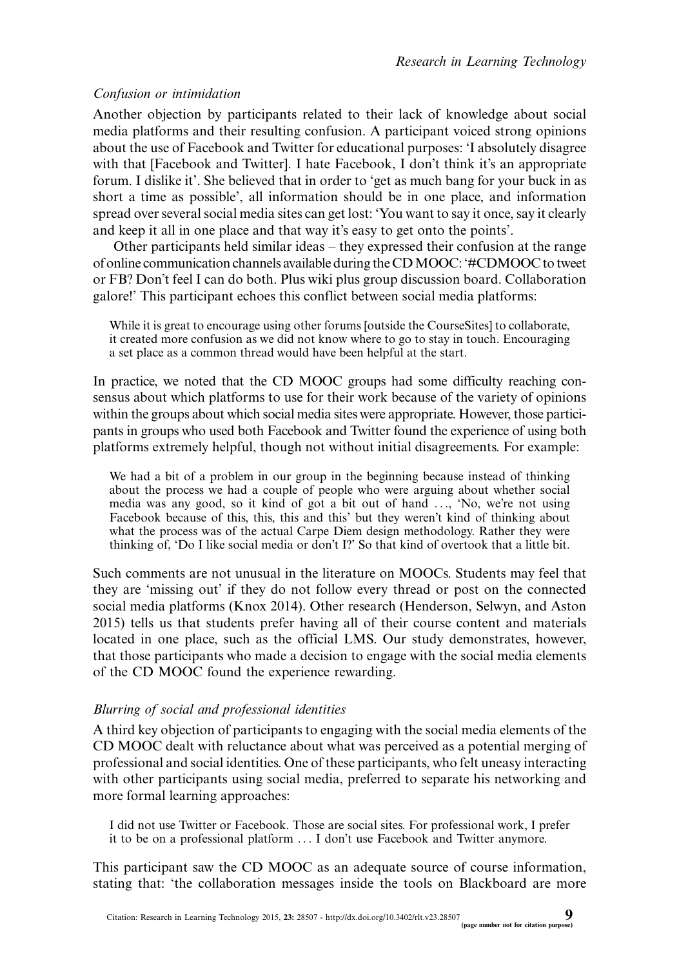#### Research in Learning Technology

## Confusion or intimidation

Another objection by participants related to their lack of knowledge about social media platforms and their resulting confusion. A participant voiced strong opinions about the use of Facebook and Twitter for educational purposes: 'I absolutely disagree with that [Facebook and Twitter]. I hate Facebook, I don't think it's an appropriate forum. I dislike it'. She believed that in order to 'get as much bang for your buck in as short a time as possible', all information should be in one place, and information spread over several social media sites can get lost: 'You want to say it once, say it clearly and keep it all in one place and that way it's easy to get onto the points'.

Other participants held similar ideas - they expressed their confusion at the range ofonline communication channels available during the CD MOOC: '#CDMOOC to tweet or FB? Don't feel I can do both. Plus wiki plus group discussion board. Collaboration galore!' This participant echoes this conflict between social media platforms:

While it is great to encourage using other forums [outside the CourseSites] to collaborate, it created more confusion as we did not know where to go to stay in touch. Encouraging a set place as a common thread would have been helpful at the start.

In practice, we noted that the CD MOOC groups had some difficulty reaching consensus about which platforms to use for their work because of the variety of opinions within the groups about which social media sites were appropriate. However, those participants in groups who used both Facebook and Twitter found the experience of using both platforms extremely helpful, though not without initial disagreements. For example:

We had a bit of a problem in our group in the beginning because instead of thinking about the process we had a couple of people who were arguing about whether social media was any good, so it kind of got a bit out of hand ..., 'No, we're not using Facebook because of this, this, this and this' but they weren't kind of thinking about what the process was of the actual Carpe Diem design methodology. Rather they were thinking of, 'Do I like social media or don't I?' So that kind of overtook that a little bit.

Such comments are not unusual in the literature on MOOCs. Students may feel that they are 'missing out' if they do not follow every thread or post on the connected social media platforms (Knox 2014). Other research (Henderson, Selwyn, and Aston 2015) tells us that students prefer having all of their course content and materials located in one place, such as the official LMS. Our study demonstrates, however, that those participants who made a decision to engage with the social media elements of the CD MOOC found the experience rewarding.

### Blurring of social and professional identities

A third key objection of participants to engaging with the social media elements of the CD MOOC dealt with reluctance about what was perceived as a potential merging of professional and social identities. One of these participants, who felt uneasy interacting with other participants using social media, preferred to separate his networking and m[ore formal learning approaches:](http://www.researchinlearningtechnology.net/index.php/rlt/article/view/28507)

I did not use Twitter or Facebook. Those are social sites. For professional work, I prefer it to be on a professional platform ... I don't use Facebook and Twitter anymore.

This participant saw the CD MOOC as an adequate source of course information, stating that: 'the collaboration messages inside the tools on Blackboard are more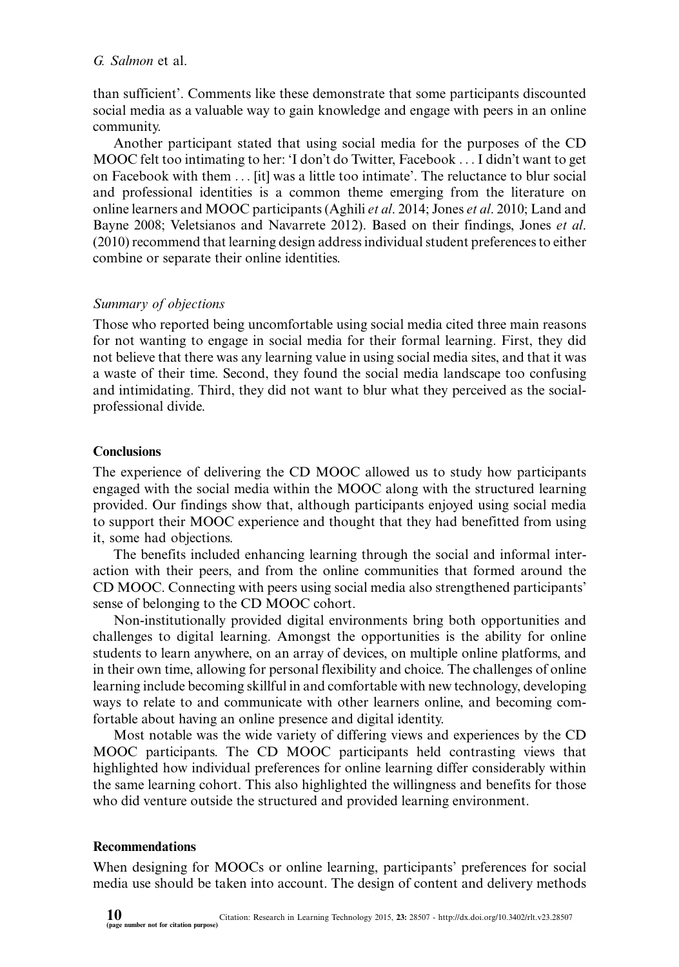than sufficient'. Comments like these demonstrate that some participants discounted social media as a valuable way to gain knowledge and engage with peers in an online community.

Another participant stated that using social media for the purposes of the CD MOOC felt too intimating to her: 'I don't do Twitter, Facebook ... I didn't want to get on Facebook with them ... [it] was a little too intimate'. The reluctance to blur social and professional identities is a common theme emerging from the literature on online learners and MOOC participants (Aghili et al. 2014; Jones et al. 2010; Land and Bayne 2008; Veletsianos and Navarrete 2012). Based on their findings, Jones et al. (2010) recommend that learning design address individual student preferences to either combine or separate their online identities.

## Summary of objections

Those who reported being uncomfortable using social media cited three main reasons for not wanting to engage in social media for their formal learning. First, they did not believe that there was any learning value in using social media sites, and that it was a waste of their time. Second, they found the social media landscape too confusing and intimidating. Third, they did not want to blur what they perceived as the socialprofessional divide.

## **Conclusions**

The experience of delivering the CD MOOC allowed us to study how participants engaged with the social media within the MOOC along with the structured learning provided. Our findings show that, although participants enjoyed using social media to support their MOOC experience and thought that they had benefitted from using it, some had objections.

The benefits included enhancing learning through the social and informal interaction with their peers, and from the online communities that formed around the CD MOOC. Connecting with peers using social media also strengthened participants' sense of belonging to the CD MOOC cohort.

Non-institutionally provided digital environments bring both opportunities and challenges to digital learning. Amongst the opportunities is the ability for online students to learn anywhere, on an array of devices, on multiple online platforms, and in their own time, allowing for personal flexibility and choice. The challenges of online learning include becoming skillful in and comfortable with new technology, developing ways to relate to and communicate with other learners online, and becoming comfortable about having an online presence and digital identity.

Most notable was the wide variety of differing views and experiences by the CD MOOC participants. The CD MOOC participants held contrasting views that highlighted how individual preferences for online learning differ considerably within the same learning cohort. This also highlighted the willingness and benefits for those who did venture outs[ide](http://www.researchinlearningtechnology.net/index.php/rlt/article/view/28507) [the](http://www.researchinlearningtechnology.net/index.php/rlt/article/view/28507) [structured](http://www.researchinlearningtechnology.net/index.php/rlt/article/view/28507) [and](http://www.researchinlearningtechnology.net/index.php/rlt/article/view/28507) [provided](http://www.researchinlearningtechnology.net/index.php/rlt/article/view/28507) [learni](http://www.researchinlearningtechnology.net/index.php/rlt/article/view/28507)[ng](http://dx.doi.org/10.3402/rlt.v23.28507) [environment.](http://dx.doi.org/10.3402/rlt.v23.28507)

### Recommendations

When designing for MOOCs or online learning, participants' preferences for social media use should be taken into account. The design of content and delivery methods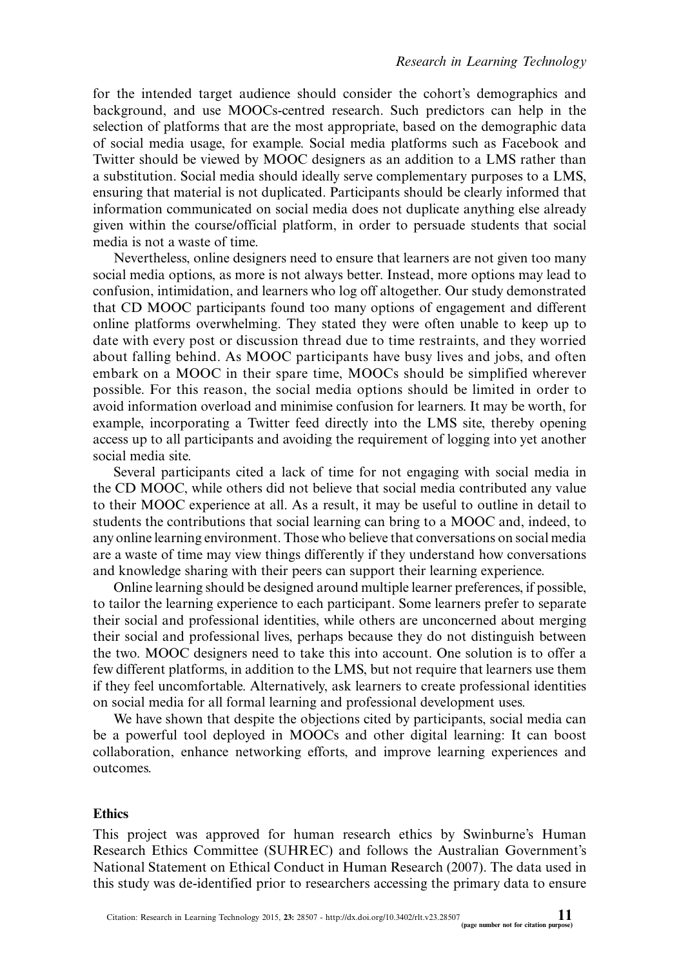### Research in Learning Technology

for the intended target audience should consider the cohort's demographics and background, and use MOOCs-centred research. Such predictors can help in the selection of platforms that are the most appropriate, based on the demographic data of social media usage, for example. Social media platforms such as Facebook and Twitter should be viewed by MOOC designers as an addition to a LMS rather than a substitution. Social media should ideally serve complementary purposes to a LMS, ensuring that material is not duplicated. Participants should be clearly informed that information communicated on social media does not duplicate anything else already given within the course/official platform, in order to persuade students that social media is not a waste of time.

Nevertheless, online designers need to ensure that learners are not given too many social media options, as more is not always better. Instead, more options may lead to confusion, intimidation, and learners who log off altogether. Our study demonstrated that CD MOOC participants found too many options of engagement and different online platforms overwhelming. They stated they were often unable to keep up to date with every post or discussion thread due to time restraints, and they worried about falling behind. As MOOC participants have busy lives and jobs, and often embark on a MOOC in their spare time, MOOCs should be simplified wherever possible. For this reason, the social media options should be limited in order to avoid information overload and minimise confusion for learners. It may be worth, for example, incorporating a Twitter feed directly into the LMS site, thereby opening access up to all participants and avoiding the requirement of logging into yet another social media site.

Several participants cited a lack of time for not engaging with social media in the CD MOOC, while others did not believe that social media contributed any value to their MOOC experience at all. As a result, it may be useful to outline in detail to students the contributions that social learning can bring to a MOOC and, indeed, to any online learning environment. Those who believe that conversations on social media are a waste of time may view things differently if they understand how conversations and knowledge sharing with their peers can support their learning experience.

Online learning should be designed around multiple learner preferences, if possible, to tailor the learning experience to each participant. Some learners prefer to separate their social and professional identities, while others are unconcerned about merging their social and professional lives, perhaps because they do not distinguish between the two. MOOC designers need to take this into account. One solution is to offer a few different platforms, in addition to the LMS, but not require that learners use them if they feel uncomfortable. Alternatively, ask learners to create professional identities on social media for all formal learning and professional development uses.

We have shown that despite the objections cited by participants, social media can be a powerful tool deployed in MOOCs and other digital learning: It can boost collaboration, enhance networking efforts, and improve learning experiences and outcomes.

### **Ethics**

This project was approved for human research ethics by Swinburne's Human Research Ethics Committee (SUHREC) and follows the Australian Government's National Statement on Ethical Conduct in Human Research (2007). The data used in this study was de-identified prior to researchers accessing the primary data to ensure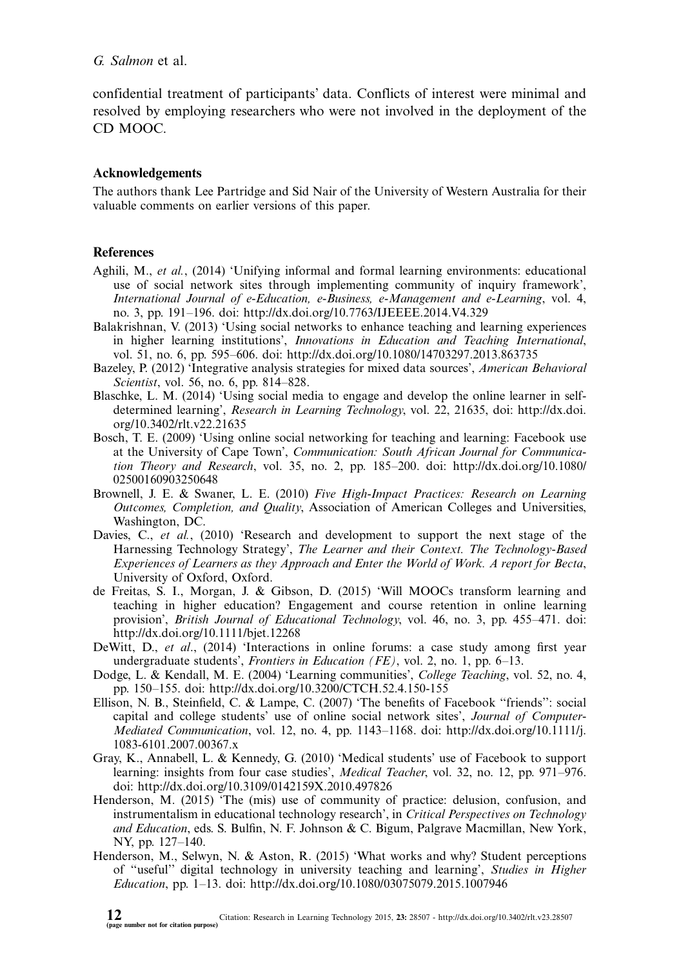confidential treatment of participants' data. Conflicts of interest were minimal and resolved by employing researchers who were not involved in the deployment of the CD MOOC.

#### Acknowledgements

The authors thank Lee Part[ridge and Sid Nair of the University of Western](http://dx.doi.org/10.7763/IJEEEE.2014.V4.329) Australia for their valuable comments on earlier versions of this paper.

### References

- Aghili, M., et al., (2014) 'Unifying informal and formal learning environments: educational use of social network sites through implementing community of inquiry [framework',](http://dx.doi.org/10.3402/rlt.v22.21635) [International Journal of](http://dx.doi.org/10.3402/rlt.v22.21635) e-Education, e-Business, e-Management and e-Learning, vol. 4, no. 3, pp. 191–196. doi: http://dx.doi.org/10.7763/IJEEEE.2014.V4.329
- Balakrishnan, V. (2013) 'Using social networks to enhance teaching and learning experiences in higher learning institutions', Innovations in Education an[d Teaching International](http://dx.doi.org/10.1080/02500160903250648), [vol. 51, no. 6, pp. 59](http://dx.doi.org/10.1080/02500160903250648)5–606. doi: http://dx.doi.org/10.1080/14703297.2013.863735
- Bazeley, P. (2012) 'Integrative analysis strategies for mixed data sources', American Behavioral Scientist, vol. 56, no. 6, pp.  $814-828$ .
- Blaschke, L. M. (2014) 'Using social media to engage and develop the online learner in selfdetermined learning', Research in Learning Technology, vol. 22, 21635, doi: http://dx.doi. org/10.3402/rlt.v22.21635
- Bosch, T. E. (2009) 'Using online social networking for teaching and learning: Facebook use at the University of Cape Town', Communication: South African Journal for Communication Theory and Research, vol. 35, no. 2, pp.  $185-200$ . doi: http://dx.doi.org/10.1080/ 02500160903250648
- Brownell, J. E. & Swaner, L. E. (2010) Five High-Impact Practices: Research on Learning [Outcomes, Completion, and Quality](http://dx.doi.org/10.1111/bjet.12268), Association of American Colleges and Universities, Washington, DC.
- Davies, C., et al., (2010) 'Research and development to support the next stage of the Harnessing Technology Strategy', The Learner and their Context. The Technology-Based Experiences of Le[arners as they Approach and Enter the World of](http://dx.doi.org/10.3200/CTCH.52.4.150-155) Work. A report for Becta, University of Oxford, Oxford.
- de Freitas, S. I., Morgan, J. & Gibson, D. (2015) 'Will MOOCs transform learning and teaching in higher education? Engagement and course ret[ention in online learning](http://dx.doi.org/10.1111/j.1083-6101.2007.00367.x) provision', [British Journ](http://dx.doi.org/10.1111/j.1083-6101.2007.00367.x)al of Educational Technology, vol. 46, no. 3, pp. 455-471. doi: http://dx.doi.org/10.1111/bjet.12268
- DeWitt, D., et al., (2014) 'Interactions in online forums: a case study among first year undergraduate students', Frontiers in Education  $(FE)$ , vol. 2, no. 1, pp. 6–13.
- Dodge, L. & Kendall, M. E. (2004) 'Learning communities', College Teaching, vol. 52, no. 4, pp. 150-155. doi: http://dx.doi.org/10.3200/CTCH.52.4.150-155
- Ellison, N. B., Steinfield, C. & Lampe, C. (2007) 'The benefits of Facebook ''friends'': social capital and college students' use of online social network sites', Journal of Computer-Mediated Communication, vol. 12, no. 4, pp. 1143-1168. doi: http://dx.doi.org/10.1111/j. 1083-6101.2007.00367.x
- Gray, K., Annabell, L. & Ke[nnedy, G. \(2010\) 'Medical students' use of Facebo](http://dx.doi.org/10.1080/03075079.2015.1007946)ok to support learning: insights from four case studies', Medical Teacher, vol. 32, no. 12, pp. 971-976. doi: http://dx.doi.org/10.3109/0142159X.2010.497826
- Henderson, M. (2015) ['The](http://www.researchinlearningtechnology.net/index.php/rlt/article/view/28507) [\(mis\)](http://www.researchinlearningtechnology.net/index.php/rlt/article/view/28507) [use](http://www.researchinlearningtechnology.net/index.php/rlt/article/view/28507) [of](http://www.researchinlearningtechnology.net/index.php/rlt/article/view/28507) [community](http://www.researchinlearningtechnology.net/index.php/rlt/article/view/28507) [of](http://www.researchinlearningtechnology.net/index.php/rlt/article/view/28507) [practic](http://www.researchinlearningtechnology.net/index.php/rlt/article/view/28507)[e:](http://dx.doi.org/10.3402/rlt.v23.28507) [delusion,](http://dx.doi.org/10.3402/rlt.v23.28507) [confusion,](http://dx.doi.org/10.3402/rlt.v23.28507) [a](http://dx.doi.org/10.3402/rlt.v23.28507)nd instrumentalism in educational technology research', in Critical Perspectives on Technology and Education, eds. S. Bulfin, N. F. Johnson & C. Bigum, Palgrave Macmillan, New York, NY, pp. 127-140.
- Henderson, M., Selwyn, N. & Aston, R. (2015) 'What works and why? Student perceptions of ''useful'' digital technology in university teaching and learning', Studies in Higher Education, pp. 1-13. doi: http://dx.doi.org/10.1080/03075079.2015.1007946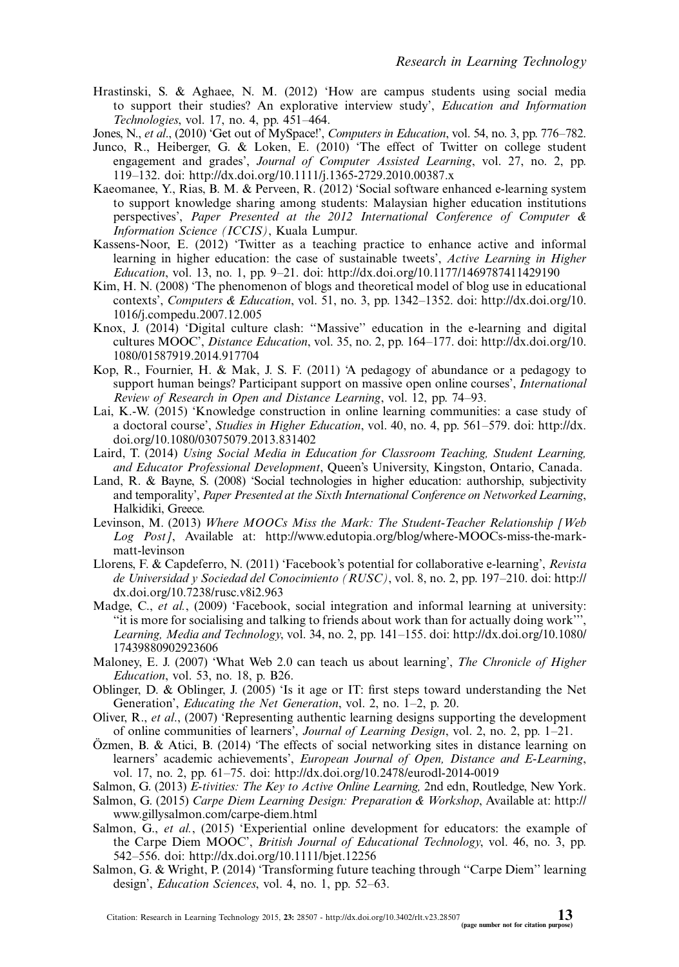- Hrastinski, S. & Aghaee, N. M. (2012) 'How are campus students using social media to support their studies? An explorative interview study', Education and Information Technologies, vol. 17, no. 4, pp. 451-464.
- Jones, N., et al., (2010) 'Get out of MySpace!', Computers in Education, vol. 54, no. 3, pp. 776-782.
- Junco, R., Heiberger, G. & Loken, E. (2[010\) 'The effect of Twitter on college stu](http://dx.doi.org/10.1177/1469787411429190)dent engagement and grades', Journal of Computer Assisted Learning, vol. 27, no. 2, pp. 119132. doi: http://dx.doi.org/10.1111/j.1365-2729.2010.00387.x
- Ka[eomanee, Y., Rias, B. M. & P](http://dx.doi.org/10.1016/j.compedu.2007.12.005)erveen, R. (2012) 'Social software enhanc[ed](http://dx.doi.org/10.1016/j.compedu.2007.12.005) [e-learning](http://dx.doi.org/10.1016/j.compedu.2007.12.005) [system](http://dx.doi.org/10.1016/j.compedu.2007.12.005) to support knowledge sharing among students: Malaysian higher education institutions perspectives', Paper Presented at the 2012 International Confere[nce of Computer &](http://dx.doi.org/10.1080/01587919.2014.917704) [Information Science \(ICCIS](http://dx.doi.org/10.1080/01587919.2014.917704)), Kuala Lumpur.
- Kassens-Noor, E. (2012) 'Twitter as a teaching practice to enhance active and informal learning in higher education: the case of sustainable tweets', Active Learning in Higher *Education*, vol. 13, no. 1, pp. 9–21. doi: http://dx.doi.org/10.1177/1469787411429190
- Kim, H. N. (2008) 'The phenomenon of blogs and theoretical model of blog use in educational contexts', Computers & Education, vol. 51, no. 3, pp. 1342-1352. doi: http://dx.d[oi.org/10.](http://dx.doi.org/10.1080/03075079.2013.831402) [1016/j.compedu.2007.12.005](http://dx.doi.org/10.1080/03075079.2013.831402)
- Knox, J. (2014) 'Digital culture clash: ''Massive'' education in the e-learning and digital cultures MOOC', Distance Education, vol. 35, no. 2, pp.  $164-177$ . doi: http://dx.doi.org/10. 1080/01587919.2014.917704
- Kop, R., Fournier, H. & Mak, J. S. F. (2011) 'A pedagogy of abundance or a pedagogy to support human beings? Participant support on massive open online courses', International Review of Research in Open and Distance Learning, vol. 12, pp. 74–93.
- Lai, K.-W. (2015) 'Knowledge c[onstruction in online learning communities: a case study of](http://www.edutopia.org/blog/where-MOOCs-miss-the-mark-matt-levinson) [a doctoral cou](http://www.edutopia.org/blog/where-MOOCs-miss-the-mark-matt-levinson)rse', Studies in Higher Education, vol. 40, no. 4, pp. 561–579. doi: http://dx. doi.org/10.1080/03075079.2013.831402
- Laird, T. (2014) Using Social Media in Education for Classroom Teaching, Student Le[arning,](http://dx.doi.org/10.7238/rusc.v8i2.963) [and Educator Professional Develo](http://dx.doi.org/10.7238/rusc.v8i2.963)pment, Queen's University, Kingston, Ontario, Canada.
- Land, R. & Bayne, S. (2008) 'Social technologies in higher education: authorship, subjectivity and temporality', Paper Presented at the Sixth International Conference on Networked Learning, Halkidiki, Greece.
- Lev[inson, M. \(2013\)](http://dx.doi.org/10.1080/17439880902923606) Where MOOCs Miss the Mark: The Student-[Teacher](http://dx.doi.org/10.1080/17439880902923606) [Relationship](http://dx.doi.org/10.1080/17439880902923606) [\[Web](http://dx.doi.org/10.1080/17439880902923606) Log Post], Available at: http://www.edutopia.org/blog/where-MOOCs-miss-the-markmatt-levinson
- Llorens, F. & Capdeferro, N. (2011) 'Facebook's potential for collaborative e-learning', Revista de Universidad y Sociedad del Conocimiento (RUSC), vol. 8, no. 2, pp. 197-210. doi: http:// dx.doi.org/10.7238/rusc.v8i2.963
- Madge, C., *et al.*, (2009) 'Facebook, social integration and informal learning at university: "it is more for socialising and talking to friends about work than for actually doing work" Learning, Media and Technology, vol. 34, no. 2, pp. 141-155. doi: http://dx.doi.org/10.1080/ 17439880902923606
- Maloney, E. J. (2007) 'What Web [2.0](http://dx.doi.org/10.2478/eurodl-2014-0019) [can](http://dx.doi.org/10.2478/eurodl-2014-0019) [teach](http://dx.doi.org/10.2478/eurodl-2014-0019) [us](http://dx.doi.org/10.2478/eurodl-2014-0019) [about](http://dx.doi.org/10.2478/eurodl-2014-0019) [learning',](http://dx.doi.org/10.2478/eurodl-2014-0019) *The Chronicle of Higher* Education, vol. 53, no. 18, p. B26.
- Obl[inger, D. & Oblinger, J. \(2005\) 'Is it ag](http://www.gillysalmon.com/carpe-diem.html)e or IT: first steps toward understanding t[he](http://www.gillysalmon.com/carpe-diem.html) [Net](http://www.gillysalmon.com/carpe-diem.html) Generation', *Educating the Net Generation*, vol. 2, no.  $1-2$ , p. 20.
- Oliver, R., et al., (2007) 'Representing authentic learning designs supporting the development of online com[munities of learners',](http://dx.doi.org/10.1111/bjet.12256) Journal of Learning Design, vol. 2, no. 2, pp. 1-21.
- Özmen, B. & Atici, B. (2014) 'The effects of social networking sites in distance learning on learners' academic achievements', European Journal of Open, Distance and E-Learning, vol. 17, no. 2, pp. 61-75. doi: http://dx.doi.org/10.2478/eurodl-2014-0019
- Salmon, G. (2013) E-tivities: The Key to Active Online Learning, 2nd edn, Routledge, New York.
- Salmon, G. (2015) [Carpe](http://www.researchinlearningtechnology.net/index.php/rlt/article/view/28507) [Diem](http://www.researchinlearningtechnology.net/index.php/rlt/article/view/28507) [Learning](http://www.researchinlearningtechnology.net/index.php/rlt/article/view/28507) [De](http://www.researchinlearningtechnology.net/index.php/rlt/article/view/28507)[sign:](http://dx.doi.org/10.3402/rlt.v23.28507) [Preparation](http://dx.doi.org/10.3402/rlt.v23.28507) [&](http://dx.doi.org/10.3402/rlt.v23.28507) [Works](http://dx.doi.org/10.3402/rlt.v23.28507)hop, Available at: http:// www.gillysalmon.com/carpe-diem.html
- Salmon, G., et al., (2015) 'Experiential online development for educators: the example of the Carpe Diem MOOC', British Journal of Educational Technology, vol. 46, no. 3, pp. 542556. doi: http://dx.doi.org/10.1111/bjet.12256
- Salmon, G. & Wright, P. (2014) 'Transforming future teaching through "Carpe Diem" learning design', Education Sciences, vol. 4, no. 1, pp. 52-63.